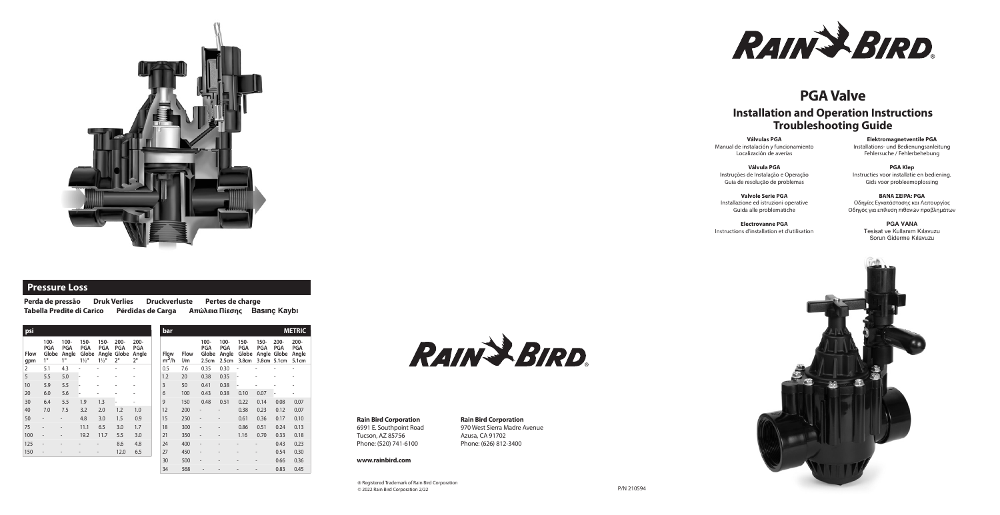# **PGA Valve**

## **Installation and Operation Instructions Troubleshooting Guide**



## **Pressure Loss**

**Perda de pressão Druk Verlies Druckverluste Pertes de charge Tabella Predite di Carico Pérdidas de Carga Απώλεια Πίεσης****Bas›nç Kayb›**

**Válvulas PGA** Manual de instalación y funcionamiento Localización de averías

**Válvula PGA** Instruções de Instalação e Operação Guia de resolução de problemas

> **PGA VANA** Tesisat ve Kullanım Kılavuzu Sorun Giderme Kılavuzu



**Valvole Serie PGA** Installazione ed istruzioni operative Guida alle problematiche

**Electrovanne PGA**  Instructions d'installation et d'utilisation

**Elektromagnetventile PGA** Installations- und Bedienungsanleitung Fehlersuche / Fehlerbehebung

**PGA Klep** Instructies voor installatie en bediening. Gids voor probleemoplossing

**BAΝΑ ΣΕΙΡΑ: PGA** Οδηγίες Εγκατάστασης και Λειτουργίας Οδηγός για επίλυση πιθανών προβλημάτων

RAIN & BIRD.

#### **Rain Bird Corporation** 6991 E. Southpoint Road Tucson, AZ 85756

Phone: (520) 741-6100

#### **www.rainbird.com**

**Rain Bird Corporation** 970 West Sierra Madre Avenue Azusa, CA 91702 Phone: (626) 812-3400

® Registered Trademark of Rain Bird Corporation © 2022 Rain Bird Corporation 2/22

| psi                |                                   |                                   |                                                  |                               |                                         |                                      |  | bar             |                    |                                  |                                      |                                                     |                          | <b>METRIC</b>                                       |                                         |
|--------------------|-----------------------------------|-----------------------------------|--------------------------------------------------|-------------------------------|-----------------------------------------|--------------------------------------|--|-----------------|--------------------|----------------------------------|--------------------------------------|-----------------------------------------------------|--------------------------|-----------------------------------------------------|-----------------------------------------|
| <b>Flow</b><br>gpm | 100-<br><b>PGA</b><br>Globe<br>1" | 100-<br><b>PGA</b><br>Angle<br>1" | $150 -$<br><b>PGA</b><br>Globe<br>$1\frac{1}{2}$ | 150-<br>PGA<br>$1\frac{1}{2}$ | 200-<br><b>PGA</b><br>Angle Globe<br>2" | $200 -$<br><b>PGA</b><br>Angle<br>2" |  | Flow<br>$m^3/h$ | <b>Flow</b><br>l/m | $100 -$<br>PGA<br>Globe<br>2.5cm | 100-<br><b>PGA</b><br>Angle<br>2.5cm | $150 -$<br><b>PGA</b><br>Globe<br>3.8 <sub>cm</sub> | $150 -$<br><b>PGA</b>    | $200 -$<br><b>PGA</b><br>Angle Globe<br>3.8cm 5.1cm | $200 -$<br><b>PGA</b><br>Angle<br>5.1cm |
| $\overline{2}$     | 5.1                               | 4.3                               |                                                  |                               |                                         |                                      |  | 0.5             | 7.6                | 0.35                             | 0.30                                 |                                                     |                          |                                                     |                                         |
| 5                  | 5.5                               | 5.0                               |                                                  |                               |                                         |                                      |  | 1.2             | 20                 | 0.38                             | 0.35                                 |                                                     |                          |                                                     |                                         |
| 10                 | 5.9                               | 5.5                               |                                                  |                               |                                         | ٠                                    |  | 3               | 50                 | 0.41                             | 0.38                                 |                                                     |                          |                                                     |                                         |
| 20                 | 6.0                               | 5.6                               |                                                  |                               |                                         |                                      |  | 6               | 100                | 0.43                             | 0.38                                 | 0.10                                                | 0.07                     | ۰                                                   |                                         |
| 30                 | 6.4                               | 5.5                               | 1.9                                              | 1.3                           |                                         |                                      |  | 9               | 150                | 0.48                             | 0.51                                 | 0.22                                                | 0.14                     | 0.08                                                | 0.07                                    |
| 40                 | 7.0                               | 7.5                               | 3.2                                              | 2.0                           | 1.2                                     | 1.0                                  |  | 12              | 200                |                                  | $\overline{a}$                       | 0.38                                                | 0.23                     | 0.12                                                | 0.07                                    |
| 50                 | $\overline{\phantom{a}}$          | $\overline{\phantom{a}}$          | 4.8                                              | 3.0                           | 1.5                                     | 0.9                                  |  | 15              | 250                | $\qquad \qquad -$                | $\qquad \qquad \blacksquare$         | 0.61                                                | 0.36                     | 0.17                                                | 0.10                                    |
| 75                 | $\overline{\phantom{a}}$          | $\overline{\phantom{a}}$          | 11.1                                             | 6.5                           | 3.0                                     | 1.7                                  |  | 18              | 300                | $\qquad \qquad -$                | $\qquad \qquad \blacksquare$         | 0.86                                                | 0.51                     | 0.24                                                | 0.13                                    |
| 100                | $\overline{\phantom{a}}$          | $\overline{\phantom{a}}$          | 19.2                                             | 11.7                          | 5.5                                     | 3.0                                  |  | 21              | 350                | $\qquad \qquad -$                | $\qquad \qquad -$                    | 1.16                                                | 0.70                     | 0.33                                                | 0.18                                    |
| 125                | $\overline{\phantom{a}}$          |                                   |                                                  |                               | 8.6                                     | 4.8                                  |  | 24              | 400                | $\qquad \qquad \blacksquare$     |                                      |                                                     |                          | 0.43                                                | 0.23                                    |
| 150                | $\overline{\phantom{a}}$          |                                   |                                                  |                               | 12.0                                    | 6.5                                  |  | 27              | 450                | $\qquad \qquad \blacksquare$     |                                      |                                                     |                          | 0.54                                                | 0.30                                    |
|                    |                                   |                                   |                                                  |                               |                                         |                                      |  | 30              | 500                | ٠                                |                                      |                                                     | $\overline{\phantom{a}}$ | 0.66                                                | 0.36                                    |
|                    |                                   |                                   |                                                  |                               |                                         |                                      |  | 34              | 568                |                                  |                                      |                                                     |                          | 0.83                                                | 0.45                                    |

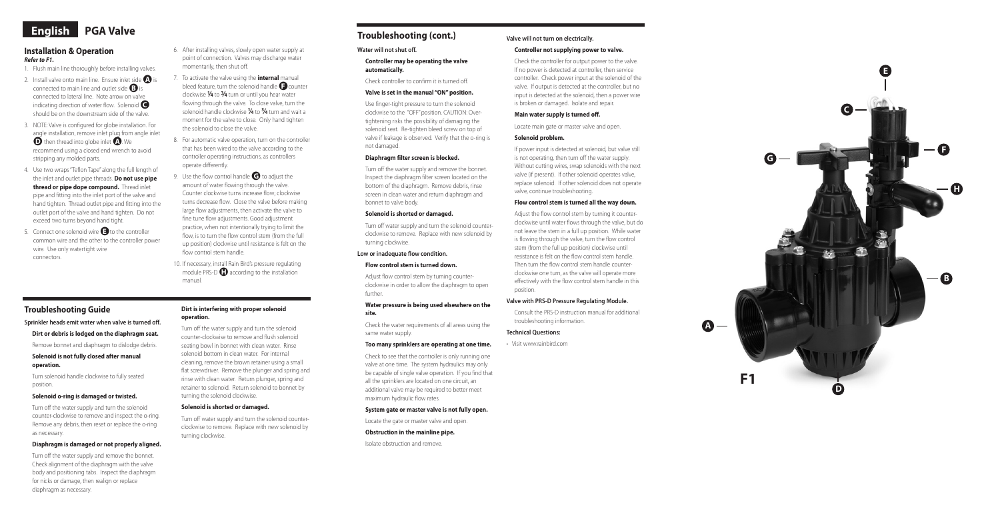#### **Installation & Operation**  *Refer to F1.*

- 1. Flush main line thoroughly before installing valves.
- 2. Install valve onto main line. Ensure inlet side  $\bigoplus$  is connected to main line and outlet side ●**<sup>B</sup>** is connected to lateral line. Note arrow on valve **indicating direction of water flow. Solenoid** should be on the downstream side of the valve.
- 3. NOTE: Valve is configured for globe installation. For angle installation, remove inlet plug from angle inlet  $\bigcirc$  then thread into globe inlet  $\bigcirc$ . We recommend using a closed end wrench to avoid stripping any molded parts.
- 4. Use two wraps "Teflon Tape" along the full length of the inlet and outlet pipe threads. **Do not use pipe thread or pipe dope compound.** Thread inlet pipe and fitting into the inlet port of the valve and hand tighten. Thread outlet pipe and fitting into the outlet port of the valve and hand tighten. Do not exceed two turns beyond hand tight.
- 5. Connect one solenoid wire **O** to the controller common wire and the other to the controller power wire. Use only watertight wire connectors.
- 6. After installing valves, slowly open water supply at point of connection. Valves may discharge water momentarily, then shut off.
- 7. To activate the valve using the **internal** manual bleed feature, turn the solenoid handle **O** counter clockwise **1⁄4** to **3⁄4** turn or until you hear water flowing through the valve. To close valve, turn the solenoid handle clockwise **1⁄4** to **3⁄4** turn and wait a moment for the valve to close. Only hand tighten the solenoid to close the valve.
- 8. For automatic valve operation, turn on the controller that has been wired to the valve according to the controller operating instructions, as controllers operate differently.
- 9. Use the flow control handle  $\bigodot$  to adjust the amount of water flowing through the valve. Counter clockwise turns increase flow; clockwise turns decrease flow. Close the valve before making large flow adjustments, then activate the valve to fine tune flow adjustments. Good adjustment practice, when not intentionally trying to limit the flow, is to turn the flow control stem (from the full up position) clockwise until resistance is felt on the flow control stem handle.
- 10. If necessary, install Rain Bird's pressure regulating module PRS-D **O** according to the installation manual.





## **Troubleshooting Guide**

**Sprinkler heads emit water when valve is turned off.**

**Dirt or debris is lodged on the diaphragm seat.**

Remove bonnet and diaphragm to dislodge debris.

#### **Solenoid is not fully closed after manual operation.**

Turn solenoid handle clockwise to fully seated position.

#### **Solenoid o-ring is damaged or twisted.**

Turn off the water supply and turn the solenoid counter-clockwise to remove and inspect the o-ring. Remove any debris, then reset or replace the o-ring as necessary.

#### **Diaphragm is damaged or not properly aligned.**

Turn off the water supply and remove the bonnet. Check alignment of the diaphragm with the valve body and positioning tabs. Inspect the diaphragm for nicks or damage, then realign or replace diaphragm as necessary.

#### **Dirt is interfering with proper solenoid operation.**

Turn off the water supply and turn the solenoid counter-clockwise to remove and flush solenoid seating bowl in bonnet with clean water. Rinse solenoid bottom in clean water. For internal cleaning, remove the brown retainer using a small flat screwdriver. Remove the plunger and spring and rinse with clean water. Return plunger, spring and retainer to solenoid. Return solenoid to bonnet by turning the solenoid clockwise.

#### **Solenoid is shorted or damaged.**

Turn off water supply and turn the solenoid counterclockwise to remove. Replace with new solenoid by turning clockwise.

#### **Water will not shut off.**

#### **Controller may be operating the valve automatically.**

Check controller to confirm it is turned off.

### **Valve is set in the manual "ON" position.**

Use finger-tight pressure to turn the solenoid clockwise to the "OFF" position. CAUTION: Overtightening risks the possibility of damaging the solenoid seat. Re-tighten bleed screw on top of valve if leakage is observed. Verify that the o-ring is not damaged.

#### **Diaphragm filter screen is blocked.**

Turn off the water supply and remove the bonnet. Inspect the diaphragm filter screen located on the bottom of the diaphragm. Remove debris, rinse screen in clean water and return diaphragm and bonnet to valve body.

#### **Solenoid is shorted or damaged.**

Turn off water supply and turn the solenoid counterclockwise to remove. Replace with new solenoid by turning clockwise.

#### **Low or inadequate flow condition.**

## **Flow control stem is turned down.**

Adjust flow control stem by turning counterclockwise in order to allow the diaphragm to open further.

#### **Water pressure is being used elsewhere on the site.**

Check the water requirements of all areas using the same water supply.

#### **Too many sprinklers are operating at one time.**

Check to see that the controller is only running one valve at one time. The system hydraulics may only be capable of single valve operation. If you find that all the sprinklers are located on one circuit, an additional valve may be required to better meet maximum hydraulic flow rates.

#### **System gate or master valve is not fully open.**

Locate the gate or master valve and open.

#### **Obstruction in the mainline pipe.**

Isolate obstruction and remove.

## **Valve will not turn on electrically.**

### **Controller not supplying power to valve.**

Check the controller for output power to the valve. If no power is detected at controller, then service controller. Check power input at the solenoid of the valve. If output is detected at the controller, but no input is detected at the solenoid, then a power wire is broken or damaged. Isolate and repair.

#### **Main water supply is turned off.**

Locate main gate or master valve and open.

#### **Solenoid problem.**

If power input is detected at solenoid, but valve still is not operating, then turn off the water supply. Without cutting wires, swap solenoids with the next valve (if present). If other solenoid operates valve, replace solenoid. If other solenoid does not operate valve, continue troubleshooting.

#### **Flow control stem is turned all the way down.**

Adjust the flow control stem by turning it counterclockwise until water flows through the valve, but do not leave the stem in a full up position. While water is flowing through the valve, turn the flow control stem (from the full up position) clockwise until resistance is felt on the flow control stem handle. Then turn the flow control stem handle counterclockwise one turn, as the valve will operate more effectively with the flow control stem handle in this position.

#### **Valve with PRS-D Pressure Regulating Module.**

Consult the PRS-D instruction manual for additional troubleshooting information.

#### **Technical Questions:**

• Visit www.rainbird.com

## **Troubleshooting (cont.)**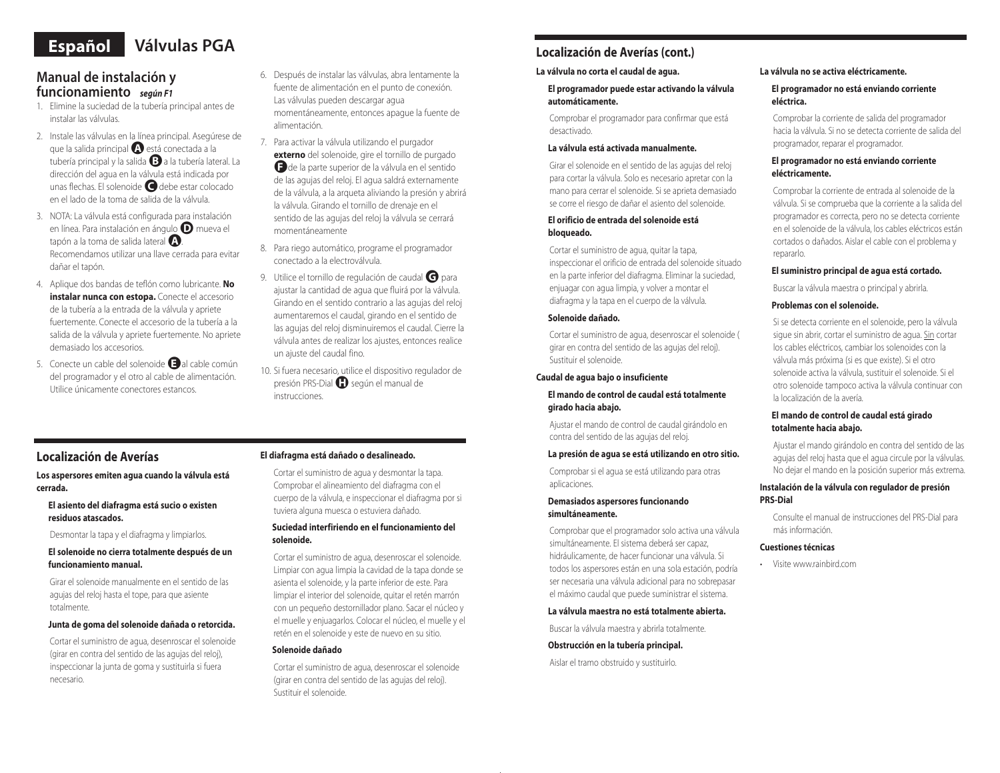# **Español Válvulas PGA**

## **Manual de instalación y funcionamiento** *según F1*

- 1. Elimine la suciedad de la tubería principal antes de instalar las válvulas.
- 2. Instale las válvulas en la línea principal. Asegúrese de que la salida principal●**<sup>A</sup>** está conectada a la tubería principal y la salida●**<sup>B</sup>** a la tubería lateral. La dirección del agua en la válvula está indicada por unas flechas. El solenoide●**<sup>C</sup>** debe estar colocado en el lado de la toma de salida de la válvula.
- 3. NOTA: La válvula está configurada para instalación en línea. Para instalación en ángulo●**<sup>D</sup>** mueva el tapón a la toma de salida lateral●**<sup>A</sup>** . Recomendamos utilizar una llave cerrada para evitar dañar el tapón.
- 4. Aplique dos bandas de teflón como lubricante. **No instalar nunca con estopa.** Conecte el accesorio de la tubería a la entrada de la válvula y apriete fuertemente. Conecte el accesorio de la tubería a la salida de la válvula y apriete fuertemente. No apriete demasiado los accesorios.
- 5. Conecte un cable del solenoide al cable común del programador y el otro al cable de alimentación. Utilice únicamente conectores estancos.
- 6. Después de instalar las válvulas, abra lentamente la fuente de alimentación en el punto de conexión. Las válvulas pueden descargar agua momentáneamente, entonces apague la fuente de alimentación.
- 7. Para activar la válvula utilizando el purgador **externo** del solenoide, gire el tornillo de purgado **F** de la parte superior de la válvula en el sentido de las agujas del reloj. El agua saldrá externamente de la válvula, a la arqueta aliviando la presión y abrirá la válvula. Girando el tornillo de drenaje en el sentido de las agujas del reloj la válvula se cerrará momentáneamente
- 8. Para riego automático, programe el programador conectado a la electroválvula.
- 9. Utilice el tornillo de regulación de caudal **G** para ajustar la cantidad de agua que fluirá por la válvula. Girando en el sentido contrario a las agujas del reloj aumentaremos el caudal, girando en el sentido de las agujas del reloj disminuiremos el caudal. Cierre la válvula antes de realizar los ajustes, entonces realice un ajuste del caudal fino.
- 10. Si fuera necesario, utilice el dispositivo regulador de presión PRS-Dial●**<sup>H</sup>** según el manual de instrucciones.

## **Localización de Averías**

**Los aspersores emiten agua cuando la válvula está cerrada.**

**El asiento del diafragma está sucio o existen residuos atascados.**

Desmontar la tapa y el diafragma y limpiarlos.

#### **El solenoide no cierra totalmente después de un funcionamiento manual.**

Girar el solenoide manualmente en el sentido de las agujas del reloj hasta el tope, para que asiente totalmente.

#### **Junta de goma del solenoide dañada o retorcida.**

Cortar el suministro de agua, desenroscar el solenoide (girar en contra del sentido de las agujas del reloj), inspeccionar la junta de goma y sustituirla si fuera necesario.

#### **El diafragma está dañado o desalineado.**

Cortar el suministro de agua y desmontar la tapa. Comprobar el alineamiento del diafragma con el cuerpo de la válvula, e inspeccionar el diafragma por si tuviera alguna muesca o estuviera dañado.

#### **Suciedad interfiriendo en el funcionamiento del solenoide.**

Cortar el suministro de agua, desenroscar el solenoide. Limpiar con agua limpia la cavidad de la tapa donde se asienta el solenoide, y la parte inferior de este. Para limpiar el interior del solenoide, quitar el retén marrón con un pequeño destornillador plano. Sacar el núcleo y el muelle y enjuagarlos. Colocar el núcleo, el muelle y el retén en el solenoide y este de nuevo en su sitio.

#### **Solenoide dañado**

Cortar el suministro de agua, desenroscar el solenoide (girar en contra del sentido de las agujas del reloj). Sustituir el solenoide.

## **Localización de Averías (cont.)**

## **La válvula no corta el caudal de agua.**

**El programador puede estar activando la válvula automáticamente.**

Comprobar el programador para confirmar que está desactivado.

#### **La válvula está activada manualmente.**

Girar el solenoide en el sentido de las agujas del reloj para cortar la válvula. Solo es necesario apretar con la mano para cerrar el solenoide. Si se aprieta demasiado se corre el riesgo de dañar el asiento del solenoide.

#### **El orificio de entrada del solenoide está bloqueado.**

Cortar el suministro de agua, quitar la tapa, inspeccionar el orificio de entrada del solenoide situado en la parte inferior del diafragma. Eliminar la suciedad, enjuagar con agua limpia, y volver a montar el diafragma y la tapa en el cuerpo de la válvula.

#### **Solenoide dañado.**

Cortar el suministro de agua, desenroscar el solenoide ( girar en contra del sentido de las agujas del reloj). Sustituir el solenoide.

#### **Caudal de agua bajo o insuficiente**

#### **El mando de control de caudal está totalmente girado hacia abajo.**

Ajustar el mando de control de caudal girándolo en contra del sentido de las agujas del reloj.

#### **La presión de agua se está utilizando en otro sitio.**

Comprobar si el agua se está utilizando para otras aplicaciones.

#### **Demasiados aspersores funcionando simultáneamente.**

Comprobar que el programador solo activa una válvula simultáneamente. El sistema deberá ser capaz, hidráulicamente, de hacer funcionar una válvula. Si todos los aspersores están en una sola estación, podría ser necesaria una válvula adicional para no sobrepasar el máximo caudal que puede suministrar el sistema.

#### **La válvula maestra no está totalmente abierta.**

Buscar la válvula maestra y abrirla totalmente.

#### **Obstrucción en la tubería principal.**

Aislar el tramo obstruido y sustituirlo.

## **La válvula no se activa eléctricamente.**

## **El programador no está enviando corriente eléctrica.**

Comprobar la corriente de salida del programador hacia la válvula. Si no se detecta corriente de salida del programador, reparar el programador.

#### **El programador no está enviando corriente eléctricamente.**

Comprobar la corriente de entrada al solenoide de la válvula. Si se comprueba que la corriente a la salida del programador es correcta, pero no se detecta corriente en el solenoide de la válvula, los cables eléctricos están cortados o dañados. Aislar el cable con el problema y repararlo.

## **El suministro principal de agua está cortado.**

Buscar la válvula maestra o principal y abrirla.

## **Problemas con el solenoide.**

Si se detecta corriente en el solenoide, pero la válvula sigue sin abrir, cortar el suministro de agua. Sin cortar los cables eléctricos, cambiar los solenoides con la válvula más próxima (si es que existe). Si el otro solenoide activa la válvula, sustituir el solenoide. Si el otro solenoide tampoco activa la válvula continuar con la localización de la avería.

## **El mando de control de caudal está girado totalmente hacia abajo.**

Ajustar el mando girándolo en contra del sentido de las agujas del reloj hasta que el agua circule por la válvulas. No dejar el mando en la posición superior más extrema.

### **Instalación de la válvula con regulador de presión PRS-Dial**

Consulte el manual de instrucciones del PRS-Dial para más información.

#### **Cuestiones técnicas**

• Visite www.rainbird.com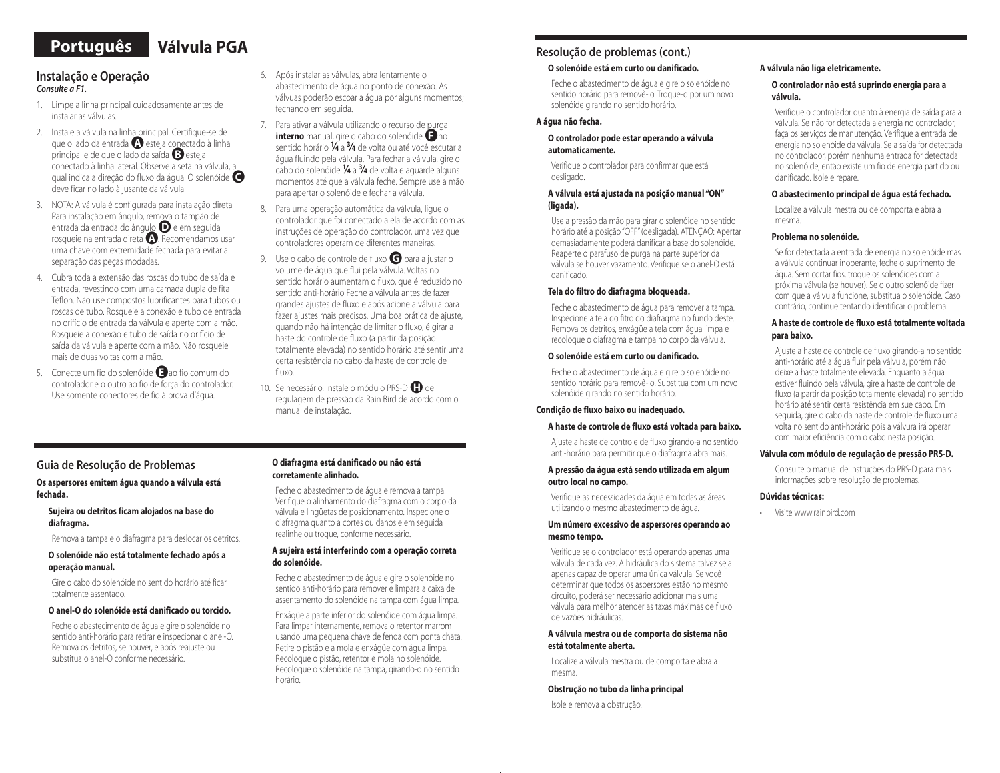## **Português Válvula PGA**

### **Instalação e Operação** *Consulte a F1.*

- 1. Limpe a linha principal cuidadosamente antes de instalar as válvulas.
- 2. Instale a válvula na linha principal. Certifique-se de que o lado da entrada **A** esteja conectado à linha principal e de que o lado da saída ●**<sup>B</sup>**esteja conectado à linha lateral. Observe a seta na válvula, a qual indica a direção do fluxo da água. O solenóide ●**<sup>C</sup>** deve ficar no lado à jusante da válvula
- 3. NOTA: A válvula é configurada para instalação direta. Para instalação em ângulo, remova o tampão de entrada da entrada do ângulo ●**<sup>D</sup>**e em seguida rosqueie na entrada direta ●**<sup>A</sup>**. Recomendamos usar uma chave com extremidade fechada para evitar a separação das peças modadas.
- 4. Cubra toda a extensão das roscas do tubo de saída e entrada, revestindo com uma camada dupla de fita Teflon. Não use compostos lubrificantes para tubos ou roscas de tubo. Rosqueie a conexão e tubo de entrada no orifício de entrada da válvula e aperte com a mão. Rosqueie a conexão e tubo de saída no orifício de saída da válvula e aperte com a mão. Não rosqueie mais de duas voltas com a mão.
- 5. Conecte um fio do solenóide **B** ao fio comum do controlador e o outro ao fio de força do controlador. Use somente conectores de fio à prova d'água.
- 6. Após instalar as válvulas, abra lentamente o abastecimento de água no ponto de conexão. As válvuas poderão escoar a água por alguns momentos; fechando em seguida.
- 7. Para ativar a válvula utilizando o recurso de purga **interno** manual, gire o cabo do solenóide **D**no sentido horário **<sup>1</sup> ⁄4** a **3⁄4** de volta ou até você escutar a água fluindo pela válvula. Para fechar a válvula, gire o cabo do solenóide **<sup>1</sup> ⁄4** a **3⁄4** de volta e aguarde alguns momentos até que a válvula feche. Sempre use a mão para apertar o solenóide e fechar a válvula.
- 8. Para uma operação automática da válvula, ligue o controlador que foi conectado a ela de acordo com as instruções de operação do controlador, uma vez que controladores operam de diferentes maneiras.
- 9. Use o cabo de controle de fluxo **o** para a justar o volume de água que flui pela válvula. Voltas no sentido horário aumentam o fluxo, que é reduzido no sentido anti-horário Feche a válvula antes de fazer grandes ajustes de fluxo e após acione a válvula para fazer ajustes mais precisos. Uma boa prática de ajuste, quando não há intençào de limitar o fluxo, é girar a haste do controle de fluxo (a partir da posição totalmente elevada) no sentido horário até sentir uma certa resistência no cabo da haste de controle de fluxo.
- 10. Se necessário, instale o módulo PRS-D<sup>1</sup>0 de regulagem de pressão da Rain Bird de acordo com o manual de instalação.

## **Guia de Resolução de Problemas**

#### **Os aspersores emitem água quando a válvula está fechada.**

#### **Sujeira ou detritos ficam alojados na base do diafragma.**

Remova a tampa e o diafragma para deslocar os detritos.

#### **O solenóide não está totalmente fechado após a operação manual.**

Gire o cabo do solenóide no sentido horário até ficar totalmente assentado.

#### **O anel-O do solenóide está danificado ou torcido.**

Feche o abastecimento de água e gire o solenóide no sentido anti-horário para retirar e inspecionar o anel-O. Remova os detritos, se houver, e após reajuste ou substitua o anel-O conforme necessário.

#### **O diafragma está danificado ou não está corretamente alinhado.**

Feche o abastecimento de água e remova a tampa. Verifique o alinhamento do diafragma com o corpo da válvula e lingüetas de posicionamento. Inspecione o diafragma quanto a cortes ou danos e em seguida realinhe ou troque, conforme necessário.

#### **A sujeira está interferindo com a operação correta do solenóide.**

Feche o abastecimento de água e gire o solenóide no sentido anti-horário para remover e limpara a caixa de assentamento do solenóide na tampa com água limpa.

Enxágüe a parte inferior do solenóide com água limpa. Para limpar internamente, remova o retentor marrom usando uma pequena chave de fenda com ponta chata. Retire o pistão e a mola e enxágüe com água limpa. Recoloque o pistão, retentor e mola no solenóide. Recoloque o solenóide na tampa, girando-o no sentido horário.

## **Resolução de problemas (cont.)**

#### **O solenóide está em curto ou danificado.**

Feche o abastecimento de água e gire o solenóide no sentido horário para removê-lo. Troque-o por um novo solenóide girando no sentido horário.

#### **A água não fecha.**

#### **O controlador pode estar operando a válvula automaticamente.**

Verifique o controlador para confirmar que está desligado.

#### **A válvula está ajustada na posição manual "ON" (ligada).**

Use a pressão da mão para girar o solenóide no sentido horário até a posição "OFF" (desligada). ATENÇÃO: Apertar demasiadamente poderá danificar a base do solenóide. Reaperte o parafuso de purga na parte superior da válvula se houver vazamento. Verifique se o anel-O está danificado.

#### **Tela do filtro do diafragma bloqueada.**

Feche o abastecimento de água para remover a tampa. Inspecione a tela do fitro do diafragma no fundo deste. Remova os detritos, enxágüe a tela com água limpa e recoloque o diafragma e tampa no corpo da válvula.

#### **O solenóide está em curto ou danificado.**

Feche o abastecimento de água e gire o solenóide no sentido horário para removê-lo. Substitua com um novo solenóide girando no sentido horário.

#### **Condição de fluxo baixo ou inadequado.**

#### **A haste de controle de fluxo está voltada para baixo.**

Ajuste a haste de controle de fluxo girando-a no sentido anti-horário para permitir que o diafragma abra mais.

#### **A pressão da água está sendo utilizada em algum outro local no campo.**

Verifique as necessidades da água em todas as áreas utilizando o mesmo abastecimento de água.

#### **Um número excessivo de aspersores operando ao mesmo tempo.**

Verifique se o controlador está operando apenas uma válvula de cada vez. A hidráulica do sistema talvez seja apenas capaz de operar uma única válvula. Se você determinar que todos os aspersores estão no mesmo circuito, poderá ser necessário adicionar mais uma válvula para melhor atender as taxas máximas de fluxo de vazões hidráulicas.

#### **A válvula mestra ou de comporta do sistema não está totalmente aberta.**

Localize a válvula mestra ou de comporta e abra a mesma.

#### **Obstrução no tubo da linha principal**

Isole e remova a obstrução.

#### **A válvula não liga eletricamente.**

#### **O controlador não está suprindo energia para a válvula.**

Verifique o controlador quanto à energia de saída para a válvula. Se não for detectada a energia no controlador, faça os serviços de manutenção. Verifique a entrada de energia no solenóide da válvula. Se a saída for detectada no controlador, porém nenhuma entrada for detectada no solenóide, então existe um fio de energia partido ou danificado. Isole e repare.

#### **O abastecimento principal de água está fechado.**

Localize a válvula mestra ou de comporta e abra a mesma.

#### **Problema no solenóide.**

Se for detectada a entrada de energia no solenóide mas a válvula continuar inoperante, feche o suprimento de água. Sem cortar fios, troque os solenóides com a próxima válvula (se houver). Se o outro solenóide fizer com que a válvula funcione, substitua o solenóide. Caso contrário, continue tentando identificar o problema.

#### **A haste de controle de fluxo está totalmente voltada para baixo.**

Ajuste a haste de controle de fluxo girando-a no sentido anti-horário até a água fluir pela válvula, porém não deixe a haste totalmente elevada. Enquanto a água estiver fluindo pela válvula, gire a haste de controle de fluxo (a partir da posição totalmente elevada) no sentido horário até sentir certa resistência em sue cabo. Em seguida, gire o cabo da haste de controle de fluxo uma volta no sentido anti-horário pois a válvura irá operar com maior eficiência com o cabo nesta posição.

#### **Válvula com módulo de regulação de pressão PRS-D.**

Consulte o manual de instruções do PRS-D para mais informações sobre resolução de problemas.

#### **Dúvidas técnicas:**

• Visite www.rainbird.com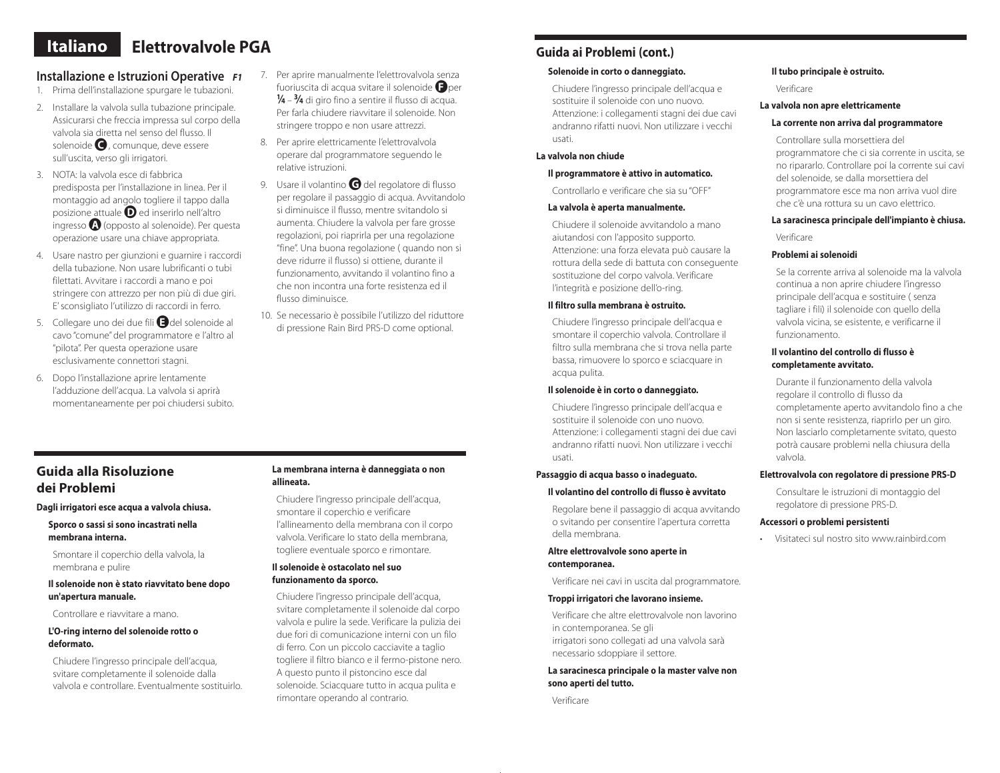## **Italiano Elettrovalvole PGA**

## **Installazione e Istruzioni Operative** *F1*

- 1. Prima dell'installazione spurgare le tubazioni.
- 2. Installare la valvola sulla tubazione principale. Assicurarsi che freccia impressa sul corpo della valvola sia diretta nel senso del flusso. Il solenoide **C**, comunque, deve essere sull'uscita, verso gli irrigatori.
- 3. NOTA: la valvola esce di fabbrica predisposta per l'installazione in linea. Per il montaggio ad angolo togliere il tappo dalla posizione attuale●**<sup>D</sup>**ed inserirlo nell'altro ingresso●**<sup>A</sup>**(opposto al solenoide). Per questa operazione usare una chiave appropriata.
- 4. Usare nastro per giunzioni e guarnire i raccordi della tubazione. Non usare lubrificanti o tubi filettati. Avvitare i raccordi a mano e poi stringere con attrezzo per non più di due giri. E' sconsigliato l'utilizzo di raccordi in ferro.
- 5. Collegare uno dei due fili●**<sup>E</sup>**del solenoide al cavo "comune" del programmatore e l'altro al "pilota". Per questa operazione usare esclusivamente connettori stagni.
- 6. Dopo l'installazione aprire lentamente l'adduzione dell'acqua. La valvola si aprirà momentaneamente per poi chiudersi subito.
- 7. Per aprire manualmente l'elettrovalvola senza fuoriuscita di acqua svitare il solenoide●**<sup>F</sup>**per **<sup>1</sup> ⁄4** – **3⁄4** di giro fino a sentire il flusso di acqua. Per farla chiudere riavvitare il solenoide. Non stringere troppo e non usare attrezzi.
- 8. Per aprire elettricamente l'elettrovalvola operare dal programmatore seguendo le relative istruzioni.
- 9. Usare il volantino **G** del regolatore di flusso per regolare il passaggio di acqua. Avvitandolo si diminuisce il flusso, mentre svitandolo si aumenta. Chiudere la valvola per fare grosse regolazioni, poi riaprirla per una regolazione "fine". Una buona regolazione ( quando non si deve ridurre il flusso) si ottiene, durante il funzionamento, avvitando il volantino fino a che non incontra una forte resistenza ed il flusso diminuisce.
- 10. Se necessario è possibile l'utilizzo del riduttore di pressione Rain Bird PRS-D come optional.

## **Guida ai Problemi (cont.)**

## **Solenoide in corto o danneggiato.**

Chiudere l'ingresso principale dell'acqua e sostituire il solenoide con uno nuovo. Attenzione: i collegamenti stagni dei due cavi andranno rifatti nuovi. Non utilizzare i vecchi usati.

#### **La valvola non chiude**

#### **Il programmatore è attivo in automatico.**

Controllarlo e verificare che sia su "OFF"

#### **La valvola è aperta manualmente.**

Chiudere il solenoide avvitandolo a mano aiutandosi con l'apposito supporto. Attenzione: una forza elevata può causare la rottura della sede di battuta con conseguente sostituzione del corpo valvola. Verificare l'integrità e posizione dell'o-ring.

## **Il filtro sulla membrana è ostruito.**

Chiudere l'ingresso principale dell'acqua e smontare il coperchio valvola. Controllare il filtro sulla membrana che si trova nella parte bassa, rimuovere lo sporco e sciacquare in acqua pulita.

#### **Il solenoide è in corto o danneggiato.**

Chiudere l'ingresso principale dell'acqua e sostituire il solenoide con uno nuovo. Attenzione: i collegamenti stagni dei due cavi andranno rifatti nuovi. Non utilizzare i vecchi usati.

#### **Passaggio di acqua basso o inadeguato.**

#### **Il volantino del controllo di flusso è avvitato**

Regolare bene il passaggio di acqua avvitando o svitando per consentire l'apertura corretta della membrana.

#### **Altre elettrovalvole sono aperte in contemporanea.**

Verificare nei cavi in uscita dal programmatore.

#### **Troppi irrigatori che lavorano insieme.**

Verificare che altre elettrovalvole non lavorino in contemporanea. Se gli irrigatori sono collegati ad una valvola sarà necessario sdoppiare il settore.

#### **La saracinesca principale o la master valve non sono aperti del tutto.**

Verificare

#### **Il tubo principale è ostruito.**

Verificare

#### **La valvola non apre elettricamente**

## **La corrente non arriva dal programmatore**

Controllare sulla morsettiera del programmatore che ci sia corrente in uscita, se no ripararlo. Controllare poi la corrente sui cavi del solenoide, se dalla morsettiera del programmatore esce ma non arriva vuol dire che c'è una rottura su un cavo elettrico.

## **La saracinesca principale dell'impianto è chiusa.**

Verificare

### **Problemi ai solenoidi**

Se la corrente arriva al solenoide ma la valvola continua a non aprire chiudere l'ingresso principale dell'acqua e sostituire ( senza tagliare i fili) il solenoide con quello della valvola vicina, se esistente, e verificarne il funzionamento.

#### **Il volantino del controllo di flusso è completamente avvitato.**

Durante il funzionamento della valvola regolare il controllo di flusso da completamente aperto avvitandolo fino a che non si sente resistenza, riaprirlo per un giro. Non lasciarlo completamente svitato, questo potrà causare problemi nella chiusura della valvola.

## **Elettrovalvola con regolatore di pressione PRS-D**

Consultare le istruzioni di montaggio del regolatore di pressione PRS-D.

#### **Accessori o problemi persistenti**

• Visitateci sul nostro sito www.rainbird.com

## **Guida alla Risoluzione dei Problemi**

**Dagli irrigatori esce acqua a valvola chiusa.**

**Sporco o sassi si sono incastrati nella membrana interna.**

Smontare il coperchio della valvola, la membrana e pulire

**Il solenoide non è stato riavvitato bene dopo un'apertura manuale.**

Controllare e riavvitare a mano.

#### **L'O-ring interno del solenoide rotto o deformato.**

Chiudere l'ingresso principale dell'acqua, svitare completamente il solenoide dalla valvola e controllare. Eventualmente sostituirlo.

#### **La membrana interna è danneggiata o non allineata.**

Chiudere l'ingresso principale dell'acqua, smontare il coperchio e verificare l'allineamento della membrana con il corpo valvola. Verificare lo stato della membrana, togliere eventuale sporco e rimontare.

### **Il solenoide è ostacolato nel suo funzionamento da sporco.**

Chiudere l'ingresso principale dell'acqua, svitare completamente il solenoide dal corpo valvola e pulire la sede. Verificare la pulizia dei due fori di comunicazione interni con un filo di ferro. Con un piccolo cacciavite a taglio togliere il filtro bianco e il fermo-pistone nero. A questo punto il pistoncino esce dal solenoide. Sciacquare tutto in acqua pulita e rimontare operando al contrario.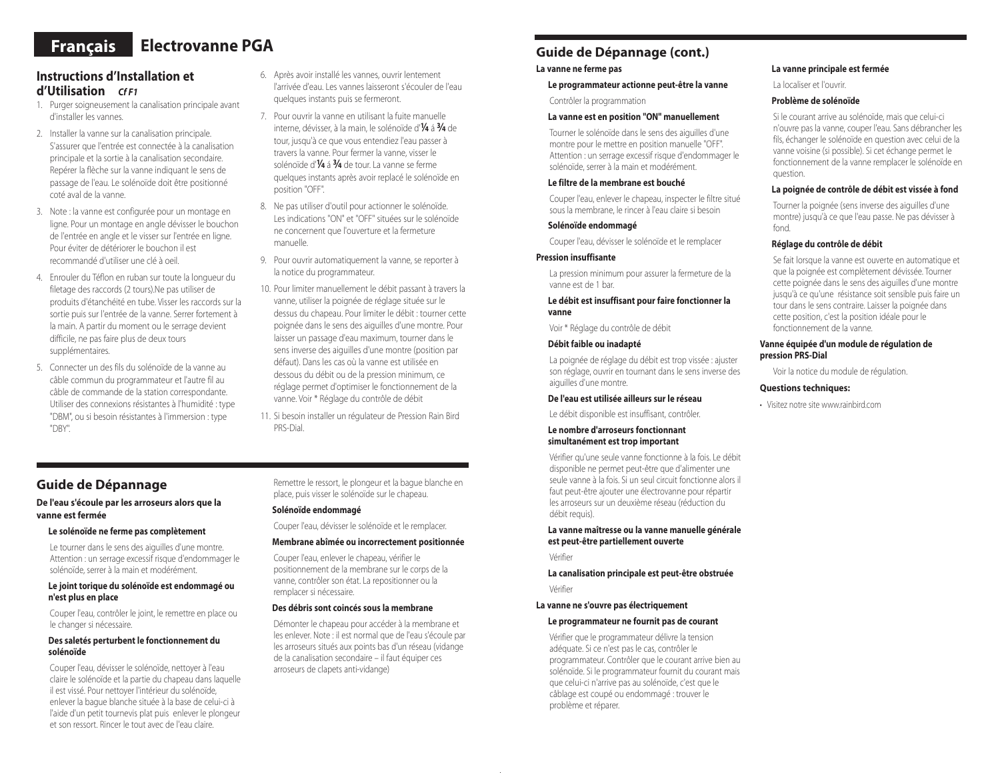# **Français Electrovanne PGA**

## **Instructions d'Installation et d'Utilisation** *Cf F1*

- 1. Purger soigneusement la canalisation principale avant d'installer les vannes.
- 2. Installer la vanne sur la canalisation principale. S'assurer que l'entrée est connectée à la canalisation principale et la sortie à la canalisation secondaire. Repérer la flèche sur la vanne indiquant le sens de passage de l'eau. Le solénoïde doit être positionné coté aval de la vanne.
- 3. Note : la vanne est configurée pour un montage en ligne. Pour un montage en angle dévisser le bouchon de l'entrée en angle et le visser sur l'entrée en ligne. Pour éviter de détériorer le bouchon il est recommandé d'utiliser une clé à oeil.
- 4. Enrouler du Téflon en ruban sur toute la longueur du filetage des raccords (2 tours).Ne pas utiliser de produits d'étanchéité en tube. Visser les raccords sur la sortie puis sur l'entrée de la vanne. Serrer fortement à la main. A partir du moment ou le serrage devient difficile, ne pas faire plus de deux tours supplémentaires.
- 5. Connecter un des fils du solénoïde de la vanne au câble commun du programmateur et l'autre fil au câble de commande de la station correspondante. Utiliser des connexions résistantes à l'humidité : type "DBM", ou si besoin résistantes à l'immersion : type "DBY".
- 6. Après avoir installé les vannes, ouvrir lentement l'arrivée d'eau. Les vannes laisseront s'écouler de l'eau quelques instants puis se fermeront.
- 7. Pour ouvrir la vanne en utilisant la fuite manuelle interne, dévisser, à la main, le solénoïde d'**<sup>1</sup> ⁄4** á **3⁄4** de tour, jusqu'à ce que vous entendiez l'eau passer à travers la vanne. Pour fermer la vanne, visser le solénoïde d'**<sup>1</sup> ⁄4** á **3⁄4** de tour. La vanne se ferme quelques instants après avoir replacé le solénoïde en position "OFF".
- 8. Ne pas utiliser d'outil pour actionner le solénoïde. Les indications "ON" et "OFF" situées sur le solénoïde ne concernent que l'ouverture et la fermeture manuelle.
- 9. Pour ouvrir automatiquement la vanne, se reporter à la notice du programmateur.
- 10. Pour limiter manuellement le débit passant à travers la vanne, utiliser la poignée de réglage située sur le dessus du chapeau. Pour limiter le débit : tourner cette poignée dans le sens des aiguilles d'une montre. Pour laisser un passage d'eau maximum, tourner dans le sens inverse des aiguilles d'une montre (position par défaut). Dans les cas où la vanne est utilisée en dessous du débit ou de la pression minimum, ce réglage permet d'optimiser le fonctionnement de la vanne. Voir \* Réglage du contrôle de débit
- 11. Si besoin installer un régulateur de Pression Rain Bird PRS-Dial.

## **Guide de Dépannage**

#### **De l'eau s'écoule par les arroseurs alors que la vanne est fermée**

#### **Le solénoïde ne ferme pas complètement**

Le tourner dans le sens des aiguilles d'une montre. Attention : un serrage excessif risque d'endommager le solénoïde, serrer à la main et modérément.

#### **Le joint torique du solénoïde est endommagé ou n'est plus en place**

Couper l'eau, contrôler le joint, le remettre en place ou le changer si nécessaire.

#### **Des saletés perturbent le fonctionnement du solénoïde**

Couper l'eau, dévisser le solénoïde, nettoyer à l'eau claire le solénoïde et la partie du chapeau dans laquelle il est vissé. Pour nettoyer l'intérieur du solénoïde, enlever la bague blanche située à la base de celui-ci à l'aide d'un petit tournevis plat puis enlever le plongeur et son ressort. Rincer le tout avec de l'eau claire.

Remettre le ressort, le plongeur et la bague blanche en place, puis visser le solénoïde sur le chapeau.

#### **Solénoïde endommagé**

Couper l'eau, dévisser le solénoïde et le remplacer.

#### **Membrane abîmée ou incorrectement positionnée**

Couper l'eau, enlever le chapeau, vérifier le positionnement de la membrane sur le corps de la vanne, contrôler son état. La repositionner ou la remplacer si nécessaire.

#### **Des débris sont coincés sous la membrane**

Démonter le chapeau pour accéder à la membrane et les enlever. Note : il est normal que de l'eau s'écoule par les arroseurs situés aux points bas d'un réseau (vidange de la canalisation secondaire – il faut équiper ces arroseurs de clapets anti-vidange)

## **Guide de Dépannage (cont.)**

#### **La vanne ne ferme pas**

#### **Le programmateur actionne peut-être la vanne**

Contrôler la programmation

#### **La vanne est en position "ON" manuellement**

Tourner le solénoïde dans le sens des aiguilles d'une montre pour le mettre en position manuelle "OFF". Attention : un serrage excessif risque d'endommager le solénoïde, serrer à la main et modérément.

#### **Le filtre de la membrane est bouché**

Couper l'eau, enlever le chapeau, inspecter le filtre situé sous la membrane, le rincer à l'eau claire si besoin

### **Solénoïde endommagé**

Couper l'eau, dévisser le solénoïde et le remplacer

#### **Pression insuffisante**

La pression minimum pour assurer la fermeture de la vanne est de 1 bar.

#### **Le débit est insuffisant pour faire fonctionner la vanne**

Voir \* Réglage du contrôle de débit

#### **Débit faible ou inadapté**

La poignée de réglage du débit est trop vissée : ajuster son réglage, ouvrir en tournant dans le sens inverse des aiguilles d'une montre.

#### **De l'eau est utilisée ailleurs sur le réseau**

Le débit disponible est insuffisant, contrôler.

#### **Le nombre d'arroseurs fonctionnant simultanément est trop important**

Vérifier qu'une seule vanne fonctionne à la fois. Le débit disponible ne permet peut-être que d'alimenter une seule vanne à la fois. Si un seul circuit fonctionne alors il faut peut-être ajouter une électrovanne pour répartir les arroseurs sur un deuxième réseau (réduction du débit requis).

#### **La vanne maîtresse ou la vanne manuelle générale est peut-être partiellement ouverte**

Vérifier

**La canalisation principale est peut-être obstruée** Vérifier

#### **La vanne ne s'ouvre pas électriquement**

#### **Le programmateur ne fournit pas de courant**

Vérifier que le programmateur délivre la tension adéquate. Si ce n'est pas le cas, contrôler le programmateur. Contrôler que le courant arrive bien au solénoïde. Si le programmateur fournit du courant mais que celui-ci n'arrive pas au solénoïde, c'est que le câblage est coupé ou endommagé : trouver le problème et réparer.

#### **La vanne principale est fermée**

La localiser et l'ouvrir.

#### **Problème de solénoïde**

Si le courant arrive au solénoïde, mais que celui-ci n'ouvre pas la vanne, couper l'eau. Sans débrancher les fils, échanger le solénoïde en question avec celui de la vanne voisine (si possible). Si cet échange permet le fonctionnement de la vanne remplacer le solénoïde en question.

#### **La poignée de contrôle de débit est vissée à fond**

Tourner la poignée (sens inverse des aiguilles d'une montre) jusqu'à ce que l'eau passe. Ne pas dévisser à fond.

#### **Réglage du contrôle de débit**

Se fait lorsque la vanne est ouverte en automatique et que la poignée est complètement dévissée. Tourner cette poignée dans le sens des aiguilles d'une montre jusqu'à ce qu'une résistance soit sensible puis faire un tour dans le sens contraire. Laisser la poignée dans cette position, c'est la position idéale pour le fonctionnement de la vanne.

#### **Vanne équipée d'un module de régulation de pression PRS-Dial**

Voir la notice du module de régulation.

#### **Questions techniques:**

• Visitez notre site www.rainbird.com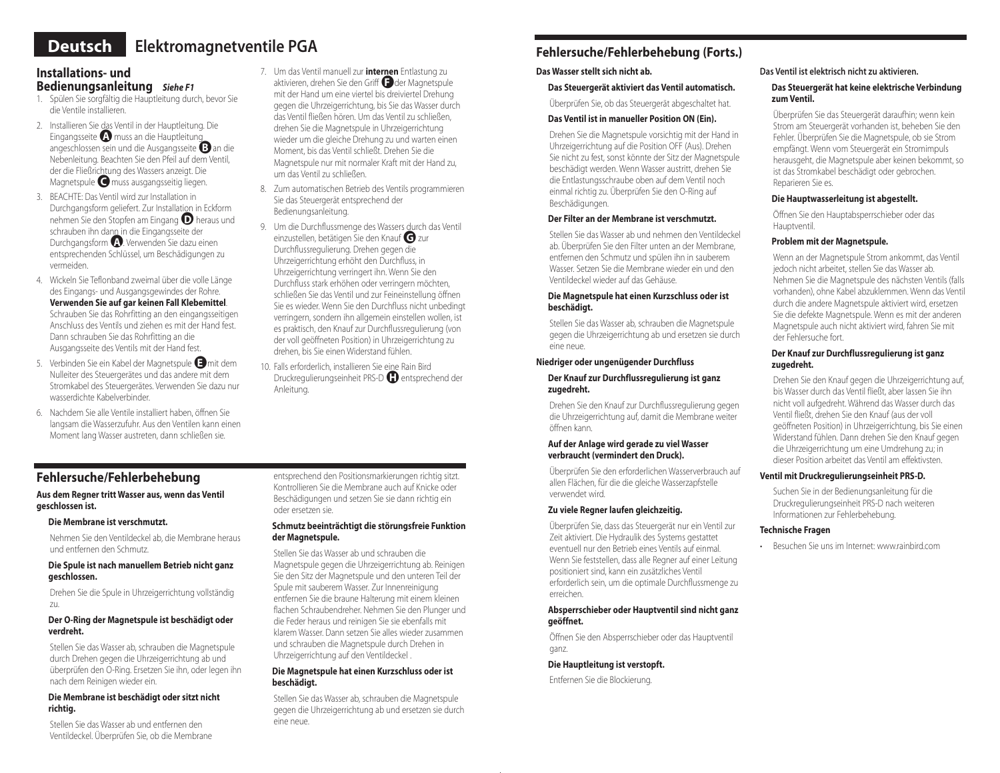## **Deutsch Elektromagnetventile PGA**

## **Installations- und Bedienungsanleitung** *Siehe F1*

- 1. Spülen Sie sorgfältig die Hauptleitung durch, bevor Sie die Ventile installieren.
- 2. Installieren Sie das Ventil in der Hauptleitung. Die Eingangsseite●**<sup>A</sup>**muss an die Hauptleitung angeschlossen sein und die Ausgangsseite●**<sup>B</sup>**an die Nebenleitung. Beachten Sie den Pfeil auf dem Ventil, der die Fließrichtung des Wassers anzeigt. Die Magnetspule●**<sup>C</sup>**muss ausgangsseitig liegen.
- 3. BEACHTE: Das Ventil wird zur Installation in Durchgangsform geliefert. Zur Installation in Eckform nehmen Sie den Stopfen am Eingang●**<sup>D</sup>**heraus und schrauben ihn dann in die Eingangsseite der Durchgangsform **A**. Verwenden Sie dazu einen entsprechenden Schlüssel, um Beschädigungen zu vermeiden.
- 4. Wickeln Sie Teflonband zweimal über die volle Länge des Eingangs- und Ausgangsgewindes der Rohre. **Verwenden Sie auf gar keinen Fall Klebemittel**. Schrauben Sie das Rohrfitting an den eingangsseitigen Anschluss des Ventils und ziehen es mit der Hand fest. Dann schrauben Sie das Rohrfitting an die Ausgangsseite des Ventils mit der Hand fest.
- 5. Verbinden Sie ein Kabel der Magnetspule●**<sup>E</sup>**mit dem Nulleiter des Steuergerätes und das andere mit dem Stromkabel des Steuergerätes. Verwenden Sie dazu nur wasserdichte Kabelverbinder.
- 6. Nachdem Sie alle Ventile installiert haben, öffnen Sie langsam die Wasserzufuhr. Aus den Ventilen kann einen Moment lang Wasser austreten, dann schließen sie.
- 7. Um das Ventil manuell zur **internen** Entlastung zu aktivieren, drehen Sie den Griff●**<sup>F</sup>**der Magnetspule mit der Hand um eine viertel bis dreiviertel Drehung gegen die Uhrzeigerrichtung, bis Sie das Wasser durch das Ventil fließen hören. Um das Ventil zu schließen, drehen Sie die Magnetspule in Uhrzeigerrichtung wieder um die gleiche Drehung zu und warten einen Moment, bis das Ventil schließt. Drehen Sie die Magnetspule nur mit normaler Kraft mit der Hand zu, um das Ventil zu schließen.
- 8. Zum automatischen Betrieb des Ventils programmieren Sie das Steuergerät entsprechend der Bedienungsanleitung.
- 9. Um die Durchflussmenge des Wassers durch das Ventil einzustellen, betätigen Sie den Knauf●**<sup>G</sup>**zur Durchflussregulierung. Drehen gegen die Uhrzeigerrichtung erhöht den Durchfluss, in Uhrzeigerrichtung verringert ihn. Wenn Sie den Durchfluss stark erhöhen oder verringern möchten, schließen Sie das Ventil und zur Feineinstellung öffnen Sie es wieder. Wenn Sie den Durchfluss nicht unbedingt verringern, sondern ihn allgemein einstellen wollen, ist es praktisch, den Knauf zur Durchflussregulierung (von der voll geöffneten Position) in Uhrzeigerrichtung zu drehen, bis Sie einen Widerstand fühlen.
- 10. Falls erforderlich, installieren Sie eine Rain Bird Druckregulierungseinheit PRS-D●**<sup>H</sup>**entsprechend der Anleitung.

## **Fehlersuche/Fehlerbehebung (Forts.)**

## **Das Wasser stellt sich nicht ab.**

## **Das Steuergerät aktiviert das Ventil automatisch.**

Überprüfen Sie, ob das Steuergerät abgeschaltet hat.

### **Das Ventil ist in manueller Position ON (Ein).**

Drehen Sie die Magnetspule vorsichtig mit der Hand in Uhrzeigerrichtung auf die Position OFF (Aus). Drehen Sie nicht zu fest, sonst könnte der Sitz der Magnetspule beschädigt werden. Wenn Wasser austritt, drehen Sie die Entlastungsschraube oben auf dem Ventil noch einmal richtig zu. Überprüfen Sie den O-Ring auf Beschädigungen.

### **Der Filter an der Membrane ist verschmutzt.**

Stellen Sie das Wasser ab und nehmen den Ventildeckel ab. Überprüfen Sie den Filter unten an der Membrane, entfernen den Schmutz und spülen ihn in sauberem Wasser. Setzen Sie die Membrane wieder ein und den Ventildeckel wieder auf das Gehäuse.

#### **Die Magnetspule hat einen Kurzschluss oder ist beschädigt.**

Stellen Sie das Wasser ab, schrauben die Magnetspule gegen die Uhrzeigerrichtung ab und ersetzen sie durch eine neue.

### **Niedriger oder ungenügender Durchfluss**

#### **Der Knauf zur Durchflussregulierung ist ganz zugedreht.**

Drehen Sie den Knauf zur Durchflussregulierung gegen die Uhrzeigerrichtung auf, damit die Membrane weiter öffnen kann.

#### **Auf der Anlage wird gerade zu viel Wasser verbraucht (vermindert den Druck).**

Überprüfen Sie den erforderlichen Wasserverbrauch auf allen Flächen, für die die gleiche Wasserzapfstelle verwendet wird.

## **Zu viele Regner laufen gleichzeitig.**

Überprüfen Sie, dass das Steuergerät nur ein Ventil zur Zeit aktiviert. Die Hydraulik des Systems gestattet eventuell nur den Betrieb eines Ventils auf einmal. Wenn Sie feststellen, dass alle Regner auf einer Leitung positioniert sind, kann ein zusätzliches Ventil erforderlich sein, um die optimale Durchflussmenge zu erreichen.

#### **Absperrschieber oder Hauptventil sind nicht ganz geöffnet.**

Öffnen Sie den Absperrschieber oder das Hauptventil ganz.

## **Die Hauptleitung ist verstopft.**

Entfernen Sie die Blockierung.

## **Das Ventil ist elektrisch nicht zu aktivieren.**

#### **Das Steuergerät hat keine elektrische Verbindung zum Ventil.**

Überprüfen Sie das Steuergerät daraufhin; wenn kein Strom am Steuergerät vorhanden ist, beheben Sie den Fehler. Überprüfen Sie die Magnetspule, ob sie Strom empfängt. Wenn vom Steuergerät ein Stromimpuls herausgeht, die Magnetspule aber keinen bekommt, so ist das Stromkabel beschädigt oder gebrochen. Reparieren Sie es.

## **Die Hauptwasserleitung ist abgestellt.**

Öffnen Sie den Hauptabsperrschieber oder das Hauptventil.

## **Problem mit der Magnetspule.**

Wenn an der Magnetspule Strom ankommt, das Ventil jedoch nicht arbeitet, stellen Sie das Wasser ab. Nehmen Sie die Magnetspule des nächsten Ventils (falls vorhanden), ohne Kabel abzuklemmen. Wenn das Ventil durch die andere Magnetspule aktiviert wird, ersetzen Sie die defekte Magnetspule. Wenn es mit der anderen Magnetspule auch nicht aktiviert wird, fahren Sie mit der Fehlersuche fort.

#### **Der Knauf zur Durchflussregulierung ist ganz zugedreht.**

Drehen Sie den Knauf gegen die Uhrzeigerrichtung auf, bis Wasser durch das Ventil fließt, aber lassen Sie ihn nicht voll aufgedreht. Während das Wasser durch das Ventil fließt, drehen Sie den Knauf (aus der voll geöffneten Position) in Uhrzeigerrichtung, bis Sie einen Widerstand fühlen. Dann drehen Sie den Knauf gegen die Uhrzeigerrichtung um eine Umdrehung zu; in dieser Position arbeitet das Ventil am effektivsten.

## **Ventil mit Druckregulierungseinheit PRS-D.**

Suchen Sie in der Bedienungsanleitung für die Druckregulierungseinheit PRS-D nach weiteren Informationen zur Fehlerbehebung.

## **Technische Fragen**

• Besuchen Sie uns im Internet: www.rainbird.com

## **Fehlersuche/Fehlerbehebung**

#### **Aus dem Regner tritt Wasser aus, wenn das Ventil geschlossen ist.**

### **Die Membrane ist verschmutzt.**

Nehmen Sie den Ventildeckel ab, die Membrane heraus und entfernen den Schmutz.

#### **Die Spule ist nach manuellem Betrieb nicht ganz geschlossen.**

Drehen Sie die Spule in Uhrzeigerrichtung vollständig zu.

### **Der O-Ring der Magnetspule ist beschädigt oder verdreht.**

Stellen Sie das Wasser ab, schrauben die Magnetspule durch Drehen gegen die Uhrzeigerrichtung ab und überprüfen den O-Ring. Ersetzen Sie ihn, oder legen ihn nach dem Reinigen wieder ein.

## **Die Membrane ist beschädigt oder sitzt nicht richtig.**

Stellen Sie das Wasser ab und entfernen den Ventildeckel. Überprüfen Sie, ob die Membrane entsprechend den Positionsmarkierungen richtig sitzt. Kontrollieren Sie die Membrane auch auf Knicke oder Beschädigungen und setzen Sie sie dann richtig ein oder ersetzen sie.

#### **Schmutz beeinträchtigt die störungsfreie Funktion der Magnetspule.**

Stellen Sie das Wasser ab und schrauben die Magnetspule gegen die Uhrzeigerrichtung ab. Reinigen Sie den Sitz der Magnetspule und den unteren Teil der Spule mit sauberem Wasser. Zur Innenreinigung entfernen Sie die braune Halterung mit einem kleinen flachen Schraubendreher. Nehmen Sie den Plunger und die Feder heraus und reinigen Sie sie ebenfalls mit klarem Wasser. Dann setzen Sie alles wieder zusammen und schrauben die Magnetspule durch Drehen in Uhrzeigerrichtung auf den Ventildeckel .

#### **Die Magnetspule hat einen Kurzschluss oder ist beschädigt.**

Stellen Sie das Wasser ab, schrauben die Magnetspule gegen die Uhrzeigerrichtung ab und ersetzen sie durch eine neue.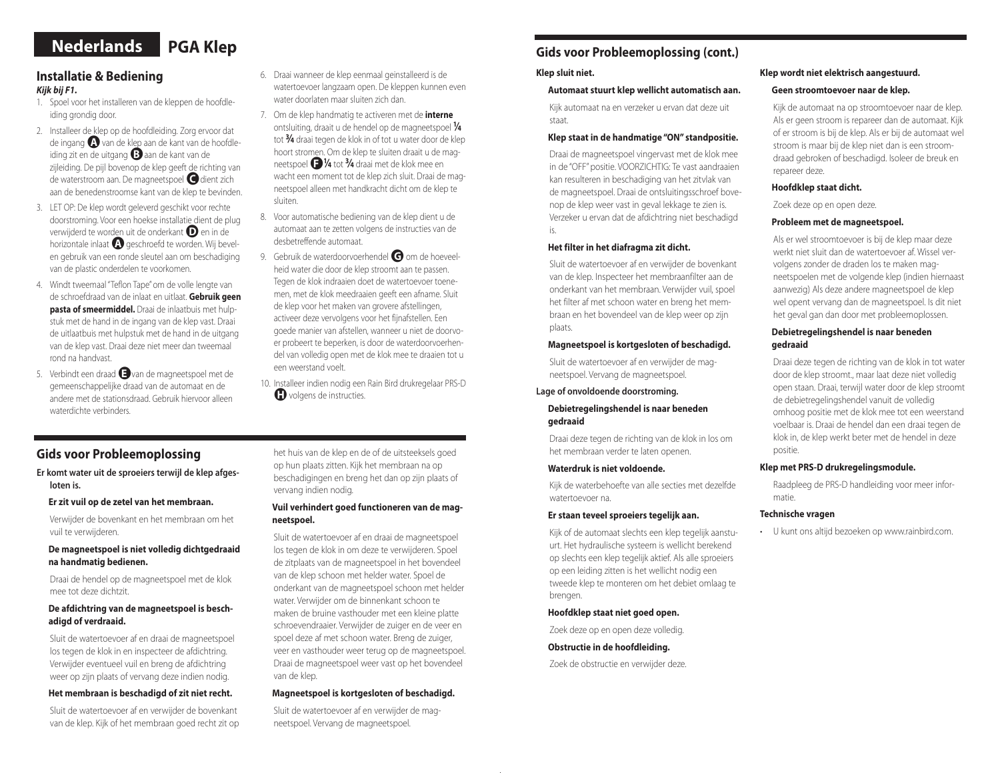# **Nederlands PGA Klep**

## **Installatie & Bediening**  *Kijk bij F1.*

- 1. Spoel voor het installeren van de kleppen de hoofdleiding grondig door.
- 2. Installeer de klep op de hoofdleiding. Zorg ervoor dat de ingang●**<sup>A</sup>**van de klep aan de kant van de hoofdleiding zit en de uitgang●**<sup>B</sup>**aan de kant van de zijleiding. De pijl bovenop de klep geeft de richting van de waterstroom aan. De magneetspoel●**<sup>C</sup>**dient zich aan de benedenstroomse kant van de klep te bevinden.
- 3. LET OP: De klep wordt geleverd geschikt voor rechte doorstroming. Voor een hoekse installatie dient de plug verwijderd te worden uit de onderkant **D** en in de horizontale inlaat **A** geschroefd te worden. Wij bevelen gebruik van een ronde sleutel aan om beschadiging van de plastic onderdelen te voorkomen.
- 4. Windt tweemaal "Teflon Tape" om de volle lengte van de schroefdraad van de inlaat en uitlaat. **Gebruik geen pasta of smeermiddel.** Draai de inlaatbuis met hulpstuk met de hand in de ingang van de klep vast. Draai de uitlaatbuis met hulpstuk met de hand in de uitgang van de klep vast. Draai deze niet meer dan tweemaal rond na handvast.
- 5. Verbindt een draad●**<sup>E</sup>**van de magneetspoel met de gemeenschappelijke draad van de automaat en de andere met de stationsdraad. Gebruik hiervoor alleen waterdichte verbinders.
- 6. Draai wanneer de klep eenmaal geinstalleerd is de watertoevoer langzaam open. De kleppen kunnen even water doorlaten maar sluiten zich dan.
- 7. Om de klep handmatig te activeren met de **interne** ontsluiting, draait u de hendel op de magneetspoel **<sup>1</sup> ⁄4** tot **3⁄4** draai tegen de klok in of tot u water door de klep hoort stromen. Om de klep te sluiten draait u de magneetspoel●**F 1 ⁄4** tot **3⁄4** draai met de klok mee en wacht een moment tot de klep zich sluit. Draai de magneetspoel alleen met handkracht dicht om de klep te sluiten.
- 8. Voor automatische bediening van de klep dient u de automaat aan te zetten volgens de instructies van de desbetreffende automaat.
- 9. Gebruik de waterdoorvoerhendel **G** om de hoeveelheid water die door de klep stroomt aan te passen. Tegen de klok indraaien doet de watertoevoer toenemen, met de klok meedraaien geeft een afname. Sluit de klep voor het maken van grovere afstellingen, activeer deze vervolgens voor het fijnafstellen. Een goede manier van afstellen, wanneer u niet de doorvoer probeert te beperken, is door de waterdoorvoerhendel van volledig open met de klok mee te draaien tot u een weerstand voelt.
- 10. Installeer indien nodig een Rain Bird drukregelaar PRS-D **H** volgens de instructies.

## **Gids voor Probleemoplossing**

**Er komt water uit de sproeiers terwijl de klep afgesloten is.**

#### **Er zit vuil op de zetel van het membraan.**

Verwijder de bovenkant en het membraan om het vuil te verwijderen.

#### **De magneetspoel is niet volledig dichtgedraaid na handmatig bedienen.**

Draai de hendel op de magneetspoel met de klok mee tot deze dichtzit.

#### **De afdichtring van de magneetspoel is beschadigd of verdraaid.**

Sluit de watertoevoer af en draai de magneetspoel los tegen de klok in en inspecteer de afdichtring. Verwijder eventueel vuil en breng de afdichtring weer op zijn plaats of vervang deze indien nodig.

#### **Het membraan is beschadigd of zit niet recht.**

Sluit de watertoevoer af en verwijder de bovenkant van de klep. Kijk of het membraan goed recht zit op het huis van de klep en de of de uitsteeksels goed op hun plaats zitten. Kijk het membraan na op beschadigingen en breng het dan op zijn plaats of vervang indien nodig.

#### **Vuil verhindert goed functioneren van de magneetspoel.**

Sluit de watertoevoer af en draai de magneetspoel los tegen de klok in om deze te verwijderen. Spoel de zitplaats van de magneetspoel in het bovendeel van de klep schoon met helder water. Spoel de onderkant van de magneetspoel schoon met helder water. Verwijder om de binnenkant schoon te maken de bruine vasthouder met een kleine platte schroevendraaier. Verwijder de zuiger en de veer en spoel deze af met schoon water. Breng de zuiger, veer en vasthouder weer terug op de magneetspoel. Draai de magneetspoel weer vast op het bovendeel van de klep.

#### **Magneetspoel is kortgesloten of beschadigd.**

Sluit de watertoevoer af en verwijder de magneetspoel. Vervang de magneetspoel.

## **Gids voor Probleemoplossing (cont.)**

### **Klep sluit niet.**

#### **Automaat stuurt klep wellicht automatisch aan.**

Kijk automaat na en verzeker u ervan dat deze uit staat.

#### **Klep staat in de handmatige "ON" standpositie.**

Draai de magneetspoel vingervast met de klok mee in de "OFF" positie. VOORZICHTIG: Te vast aandraaien kan resulteren in beschadiging van het zitvlak van de magneetspoel. Draai de ontsluitingsschroef bovenop de klep weer vast in geval lekkage te zien is. Verzeker u ervan dat de afdichtring niet beschadigd is.

#### **Het filter in het diafragma zit dicht.**

Sluit de watertoevoer af en verwijder de bovenkant van de klep. Inspecteer het membraanfilter aan de onderkant van het membraan. Verwijder vuil, spoel het filter af met schoon water en breng het membraan en het bovendeel van de klep weer op zijn plaats.

#### **Magneetspoel is kortgesloten of beschadigd.**

Sluit de watertoevoer af en verwijder de magneetspoel. Vervang de magneetspoel.

## **Lage of onvoldoende doorstroming.**

#### **Debietregelingshendel is naar beneden gedraaid**

Draai deze tegen de richting van de klok in los om het membraan verder te laten openen.

#### **Waterdruk is niet voldoende.**

Kijk de waterbehoefte van alle secties met dezelfde watertoevoer na.

#### **Er staan teveel sproeiers tegelijk aan.**

Kijk of de automaat slechts een klep tegelijk aanstuurt. Het hydraulische systeem is wellicht berekend op slechts een klep tegelijk aktief. Als alle sproeiers op een leiding zitten is het wellicht nodig een tweede klep te monteren om het debiet omlaag te brengen.

#### **Hoofdklep staat niet goed open.**

Zoek deze op en open deze volledig.

#### **Obstructie in de hoofdleiding.**

Zoek de obstructie en verwijder deze.

#### **Klep wordt niet elektrisch aangestuurd.**

#### **Geen stroomtoevoer naar de klep.**

Kijk de automaat na op stroomtoevoer naar de klep. Als er geen stroom is repareer dan de automaat. Kijk of er stroom is bij de klep. Als er bij de automaat wel stroom is maar bij de klep niet dan is een stroomdraad gebroken of beschadigd. Isoleer de breuk en repareer deze.

#### **Hoofdklep staat dicht.**

Zoek deze op en open deze.

#### **Probleem met de magneetspoel.**

Als er wel stroomtoevoer is bij de klep maar deze werkt niet sluit dan de watertoevoer af. Wissel vervolgens zonder de draden los te maken magneetspoelen met de volgende klep (indien hiernaast aanwezig) Als deze andere magneetspoel de klep wel opent vervang dan de magneetspoel. Is dit niet het geval gan dan door met probleemoplossen.

### **Debietregelingshendel is naar beneden gedraaid**

Draai deze tegen de richting van de klok in tot water door de klep stroomt., maar laat deze niet volledig open staan. Draai, terwijl water door de klep stroomt de debietregelingshendel vanuit de volledig omhoog positie met de klok mee tot een weerstand voelbaar is. Draai de hendel dan een draai tegen de klok in, de klep werkt beter met de hendel in deze positie.

#### **Klep met PRS-D drukregelingsmodule.**

Raadpleeg de PRS-D handleiding voor meer informatie.

#### **Technische vragen**

• U kunt ons altijd bezoeken op www.rainbird.com.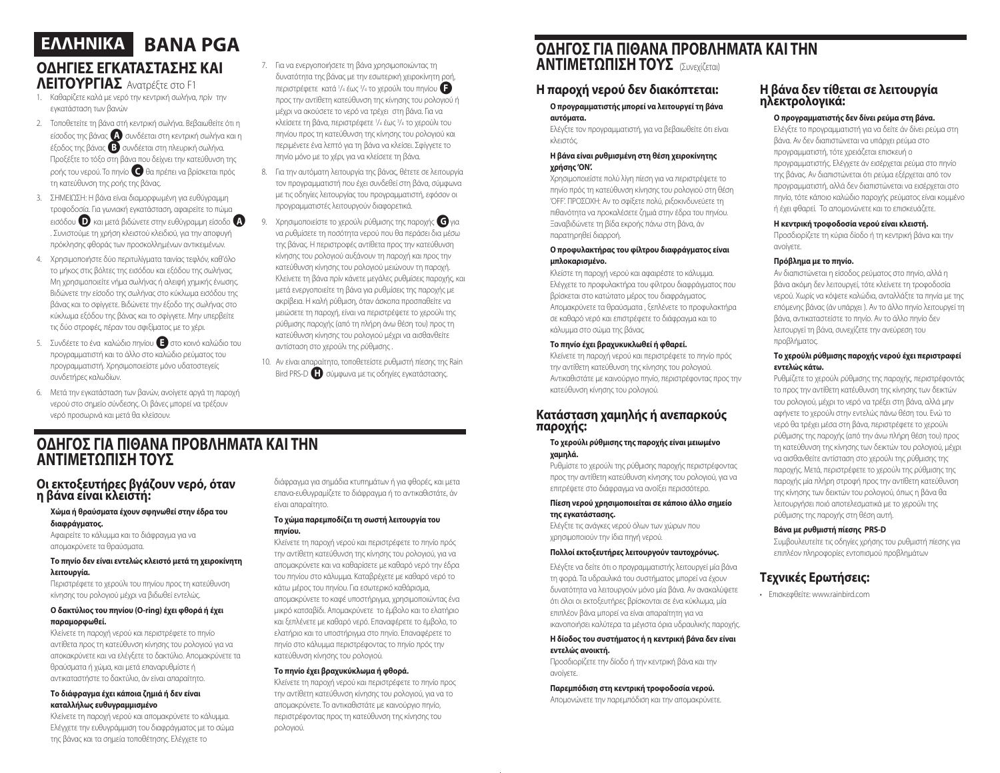# **ΟΔΗΓΙΕΣ ΕΓΚΑΤΑΣΤΑΣΗΣ ΚΑΙ BANA PGA EΛΛHNIKA**

## **ΛΕΙΤΟΥΡΓΙΑΣ** Ανατρέξτε στο F1

- 1. Καθαρίζετε καλά με νερό την κεντρική σωλήνα, πρίν την εγκατάσταση των βανών
- 2. Τοποθετείτε τη βάνα στή κεντρική σωλήνα. Βεβαιωθείτε ότι η είσοδος της βάνας <sup>4</sup> συνδέεται στη κεντρική σωλήνα και η έξοδος της βάνας●**<sup>B</sup>**συνδέεται στη πλευρική σωλήνα. Προξέξτε το τόξο στη βάνα που δείχνει την κατεύθυνση της ροής του νερού. Το πηνίο●**<sup>C</sup>**θα πρέπει να βρίσκεται πρός τη κατεύθυνση της ροής της βάνας.
- 3. ΣΗΜΕΙΩΣΗ: Η βάνα είναι διαμορφωμένη για ευθύγραμμη τροφοδοσία. Για γωνιακή εγκατάσταση, αφαιρείτε το πώμα εισόδου●**<sup>D</sup>**και μετά βιδώνετε στην ευθύγραμμη είσοδο●**<sup>A</sup>** . Συνιστούμε τη χρήση κλειστού κλειδιού, για την αποφυγή πρόκλησης φθοράς των προσκολλημένων αντικειμένων.
- 4. Χρησιμοποιήστε δύο περιτυλίγματα ταινίας τεφλόν, καθ'όλο το μήκος στις βόλτες της εισόδου και εξόδου της σωλήνας. Μη χρησιμοποιείτε νήμα σωλήνας ή αλειφή χημικής ένωσης. Βιδώνετε την είσοδο της σωλήνας στο κύκλωμα εισόδου της βάνας και το σφίγγετε. Βιδώνετε την έξοδο της σωλήνας στο κύκλωμα εξόδου της βάνας και το σφίγγετε. Μην υπερβείτε τις δύο στροφές, πέραν του σφιξίματος με το χέρι.
- 5. Συνδέετε το ένα καλώδιο πηνίου **Ε**στο κοινό καλώδιο του προγραμματιστή και το άλλο στο καλώδιο ρεύματος του προγραμματιστή. Χρησιμοποιείστε μόνο υδατοστεγείς συνδετήρες καλωδίων.
- 6. Μετά την εγκατάσταση των βανών, ανοίγετε αργά τη παροχή νερού στο σημείο σύνδεσης. Οι βάνες μπορεί να τρέξουν νερό προσωρινά και μετά θα κλείσουν.
- 7. Για να ενεργοποιήσετε τη βάνα χρησιμοποιώντας τη δυνατότητα της βάνας με την εσωτερική χειροκίνητη ροή, περιστρέφετε κατά 1/<sub>4</sub> έως <sup>3</sup>/<sub>4</sub> το χερούλι του πηνίου προς την αντίθετη κατεύθυνση της κίνησης του ρολογιού ή μέχρι να ακούσετε το νερό να τρέχει στη βάνα. Για να κλείσετε τη βάνα, περιστρέφετε 1 /4 έως 3 /4 το χερούλι του πηνίου προς τη κατεύθυνση της κίνησης του ρολογιού και περιμένετε ένα λεπτό για τη βάνα να κλείσει. Σφίγγετε το πηνίο μόνο με το χέρι, για να κλείσετε τη βάνα.
- 8. Για την αυτόματη λειτουργία της βάνας, θέτετε σε λειτουργία τον προγραμματιστή που έχει συνδεθεί στη βάνα, σύμφωνα με τις οδηγίες λειτουργίας του προγραμματιστή, εφόσον οι προγραμματιστές λειτουργούν διαφορετικά.
- 9. Χρησιμοποιείστε το χερούλι ρύθμισης της παροχής **G** για να ρυθμίσετε τη ποσότητα νερού που θα περάσει δια μέσω της βάνας. Η περιστροφές αντίθετα προς την κατεύθυνση κίνησης του ρολογιού αυξάνουν τη παροχή και προς την κατεύθυνση κίνησης του ρολογιού μειώνουν τη παροχή. Κλείνετε τη βάνα πρίν κάνετε μεγάλες ρυθμίσεις παροχής, και μετά ενεργοποιείτε τη βάνα για ρυθμίσεις της παροχής με ακρίβεια. Η καλή ρύθμιση, όταν άσκοπα προσπαθείτε να μειώσετε τη παροχή, είναι να περιστρέψετε το χερούλι της ρύθμισης παροχής (από τη πλήρη άνω θέση του) προς τη κατεύθυνση κίνησης του ρολογιού μέχρι να αισθανθείτε αντίσταση στο χερούλι της ρύθμισης .
- 10. Αν είναι απαραίτητο, τοποθετείστε ρυθμιστή πίεσης της Rain Bird PRS-D●**<sup>H</sup>**σύμφωνα με τις οδηγίες εγκατάστασης.

## **ΟΔΗΓΟΣ ΓΙΑ ΠΙΘΑΝΑ ΠΡΟΒΛΗΜΑΤΑ ΚΑΙ ΤΗΝ ΑΝΤΙΜΕΤΩΠΙΣΗ ΤΟΥΣ**

## **Οι εκτοξευτήρες βγάζουν νερό, όταν η βάνα είναι κλειστή:**

#### **Χώμα ή θραύσματα έχουν σφηνωθεί στην έδρα του διαφράγματος.**

Αφαιρείτε το κάλυμμα και το διάφραγμα για να απομακρύνετε τα θραύσματα.

#### **Το πηνίο δεν είναι εντελώς κλειστό μετά τη χειροκίνητη λειτουργία.**

Περιστρέφετε το χερούλι του πηνίου προς τη κατεύθυνση κίνησης του ρολογιού μέχρι να βιδωθεί εντελώς.

#### **Ο δακτύλιος του πηνίου (Ο-ring) έχει φθορά ή έχει παραμορφωθεί.**

Κλείνετε τη παροχή νερού και περιστρέφετε το πηνίο αντίθετα προς τη κατεύθυνση κίνησης του ρολογιού για να αποκακρύνετε και να ελέγξετε το δακτύλιο. Απομακρύνετε τα θραύσματα ή χώμα, και μετά επαναρυθμίστε ή αντικαταστήστε το δακτύλιο, άν είναι απαραίτητο.

#### **Το διάφραγμα έχει κάποια ζημιά ή δεν είναι καταλλήλως ευθυγραμμισμένο**

Κλείνετε τη παροχή νερού και απομακρύνετε το κάλυμμα. Ελέγχετε την ευθυγράμμιση του διαφράγματος με το σώμα της βάνας και τα σημεία τοποθέτησης. Ελέγχετε το

διάφραγμα για σημάδια κτυπημάτων ή για φθορές, και μετα επανα-ευθυγραμίζετε το διάφραγμα ή το αντικαθιστάτε, άν είναι απαραίτητο.

#### **Το χώμα παρεμποδίζει τη σωστή λειτουργία του πηνίου.**

Κλείνετε τη παροχή νερού και περιστρέφετε το πηνίο πρός την αντίθετη κατεύθυνση της κίνησης του ρολογιού, για να απομακρύνετε και να καθαρίσετε με καθαρό νερό την έδρα του πηνίου στο κάλυμμα. Καταβρέχετε με καθαρό νερό το κάτω μέρος του πηνίου. Για εσωτερικό καθάρισμα, απομακρύνετε το καφέ υποστήριγμα, χρησιμοποιώντας ένα μικρό κατσαβίδι. Απομακρύνετε το έμβολο και το ελατήριο και ξεπλένετε με καθαρό νερό. Επαναφέρετε το έμβολο, το ελατήριο και το υποστήριγμα στο πηνίο. Επαναφέρετε το πηνίο στο κάλυμμα περιστρέφοντας το πηνίο πρός την κατεύθυνση κίνησης του ρολογιού.

#### **Το πηνίο έχει βραχυκύκλωμα ή φθορά.**

Κλείνετε τη παροχή νερού και περιστρέφετε το πηνίο προς την αντίθετη κατεύθυνση κίνησης του ρολογιού, για να το απομακρύνετε. Το αντικαθιστάτε με καινούργιο πηνίο, περιστρέφοντας προς τη κατεύθυνση της κίνησης του ρολογιού.

## **ΟΔΗΓΟΣ ΓΙΑ ΠΙΘΑΝΑ ΠΡΟΒΛΗΜΑΤΑ ΚΑΙ ΤΗΝ ΑΝΤΙΜΕΤΩΠΙΣΗ ΤΟΥΣ** (Συνεχίζεται)

## **Η παροχή νερού δεν διακόπτεται:**

**Ο προγραμματιστής μπορεί να λειτουργεί τη βάνα αυτόματα.**

Ελέγξτε τον προγραμματιστή, για να βεβαιωθείτε ότι είναι κλειστός.

#### **Η βάνα είναι ρυθμισμένη στη θέση χειροκίνητης χρήσης 'ΟΝ'.**

Χρησιμοποιείστε πολύ λίγη πίεση για να περιστρέψετε το πηνίο πρός τη κατεύθυνση κίνησης του ρολογιού στη θέση 'OFF'. ΠΡΟΣΟΧΗ: Αν το σφίξετε πολύ, ριξοκινδυνεύετε τη πιθανότητα να προκαλέσετε ζημιά στην έδρα του πηνίου. Ξαναβιδώνετε τη βίδα εκροής πάνω στη βάνα, άν παρατηρηθεί διαρροή.

#### **Ο προφυλακτήρας του φίλτρου διαφράγματος είναι μπλοκαρισμένο.**

Κλείστε τη παροχή νερού και αφαιρέστε το κάλυμμα. Ελέγχετε το προφυλακτήρα του φίλτρου διαφράγματος που βρίσκεται στο κατώτατο μέρος του διαφράγματος. Απομακρύνετε τα θραύσματα , ξεπλένετε το προφυλακτήρα σε καθαρό νερό και επιστρέφετε το διάφραγμα και το κάλυμμα στο σώμα της βάνας.

#### **Το πηνίο έχει βραχυκυκλωθεί ή φθαρεί.**

Κλείνετε τη παροχή νερού και περιστρέφετε το πηνίο πρός την αντίθετη κατεύθυνση της κίνησης του ρολογιού. Αντικαθιστάτε με καινούργιο πηνίο, περιστρέφοντας προς την κατεύθυνση κίνησης του ρολογιού.

## **Κατάσταση χαμηλής ή ανεπαρκούς παροχής:**

#### **Το χερούλι ρύθμισης της παροχής είναι μειωμένο χαμηλά.**

Ρυθμίστε το χερούλι της ρύθμισης παροχής περιστρέφοντας προς την αντίθετη κατεύθυνση κίνησης του ρολογιού, για να επιτρέψετε στο διάφραγμα να ανοίξει περισσότερο.

#### **Πίεση νερού χρησιμοποιείται σε κάποιο άλλο σημείο της εγκατάστασης.**

Ελέγξτε τις ανάγκες νερού όλων των χώρων που χρησιμοποιούν την ίδια πηγή νερού.

### **Πολλοί εκτοξευτήρες λειτουργούν ταυτοχρόνως.**

Ελέγξτε να δείτε ότι ο προγραμματιστής λειτουργεί μία βάνα τη φορά. Τα υδραυλικά του συστήματος μπορεί να έχουν δυνατότητα να λειτουργούν μόνο μία βάνα. Αν ανακαλύψετε ότι όλοι οι εκτοξευτήρες βρίσκονται σε ένα κύκλωμα, μία επιπλέον βάνα μπορεί να είναι απαραίτητη για να ικανοποιήσει καλύτερα τα μέγιστα όρια υδραυλικής παροχής.

#### **Η δίοδος του συστήματος ή η κεντρική βάνα δεν είναι εντελώς ανοικτή.**

Προσδιορίζετε την δίοδο ή την κεντρική βάνα και την ανοίγετε.

#### **Παρεμπόδιση στη κεντρική τροφοδοσία νερού.**

Απομονώνετε την παρεμπόδιση και την απομακρύνετε.

## **Η βάνα δεν τίθεται σε λειτουργία ηλεκτρολογικά:**

## **Ο προγραμματιστής δεν δίνει ρεύμα στη βάνα.**

Ελέγξτε το προγραμματιστή για να δείτε άν δίνει ρεύμα στη βάνα. Αν δεν διαπιστώνεται να υπάρχει ρεύμα στο προγραμματιστή, τότε χρειάζεται επισκευή ο προγραμματιστής. Ελέγχετε άν εισέρχεται ρεύμα στο πηνίο της βάνας. Αν διαπιστώνεται ότι ρεύμα εξέρχεται από τον προγραμματιστή, αλλά δεν διαπιστώνεται να εισέρχεται στο πηνίο, τότε κάποιο καλώδιο παροχής ρεύματος είναι κομμένο ή έχει φθαρεί. Το απομονώνετε και το επισκευάζετε.

#### **Η κεντρική τροφοδοσία νερού είναι κλειστή.**

Προσδιορίζετε τη κύρια δίοδο ή τη κεντρική βάνα και την ανοίγετε.

## **Πρόβλημα με το πηνίο.**

Αν διαπιστώνεται η είσοδος ρεύματος στο πηνίο, αλλά η βάνα ακόμη δεν λειτουργεί, τότε κλείνετε τη τροφοδοσία νερού. Χωρίς να κόψετε καλώδια, ανταλλάξτε τα πηνία με της επόμενης βάνας (άν υπάρχει ). Αν το άλλο πηνίο λειτουργεί τη βάνα, αντικαταστείστε το πηνίο. Αν το άλλο πηνίο δεν λειτουργεί τη βάνα, συνεχίζετε την ανεύρεση του προβλήματος.

#### **Το χερούλι ρύθμισης παροχής νερού έχει περιστραφεί εντελώς κάτω.**

Ρυθμίζετε το χερούλι ρύθμισης της παροχής, περιστρέφοντάς το προς την αντίθετη κατέυθυνση της κίνησης των δεικτών του ρολογιού, μέχρι το νερό να τρέξει στη βάνα, αλλά μην αφήνετε το χερούλι στην εντελώς πάνω θέση του. Ενώ το νερό θα τρέχει μέσα στη βάνα, περιστρέφετε το χερούλι ρύθμισης της παροχής (από την άνω πλήρη θέση του) προς τη κατεύθυνση της κίνησης των δεικτών του ρολογιού, μέχρι να αισθανθείτε αντίσταση στο χερούλι της ρύθμισης της παροχής. Μετά, περιστρέφετε το χερούλι της ρύθμισης της παροχής μία πλήρη στροφή προς την αντίθετη κατεύθυνση της κίνησης των δεικτών του ρολογιού, όπως η βάνα θα λειτουργήσει ποιό αποτελεσματικά με το χερούλι της ρύθμισης της παροχής στη θέση αυτή.

#### **Βάνα με ρυθμιστή πίεσης PRS-D**

Συμβουλευτείτε τις οδηγίες χρήσης του ρυθμιστή πίεσης για επιπλέον πληροφορίες εντοπισμού προβλημάτων

## **Τεχνικές Ερωτήσεις:**

• Επισκεφθείτε: www.rainbird.com